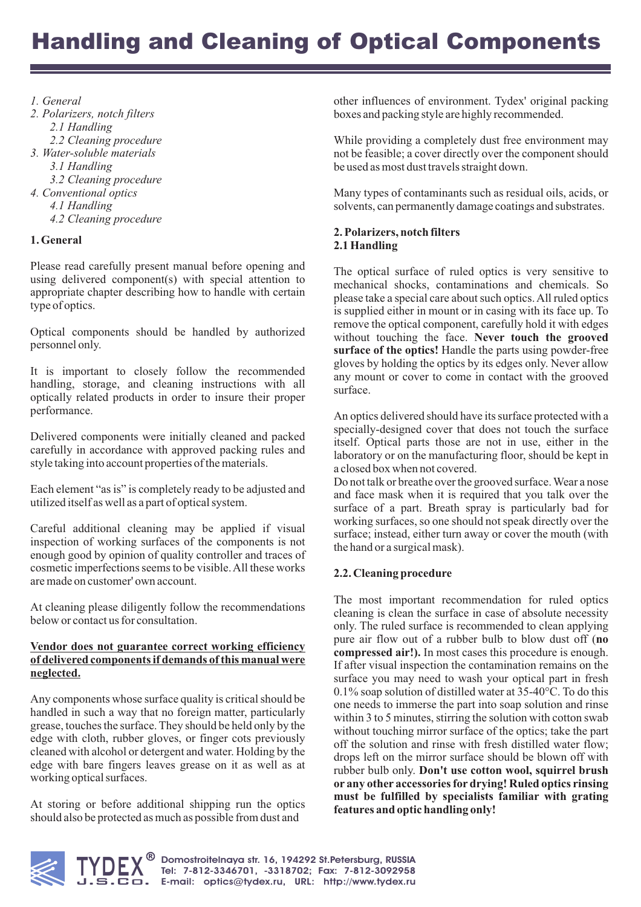## *1. General*

- *2. Polarizers, notch filters 2.1 Handling 2.2 Cleaning procedure 3. Water-soluble materials*
	- *3.1 Handling*
- *3.2 Cleaning procedure*
- *4. Conventional optics*
	- *4.1 Handling*
	- *4.2 Cleaning procedure*

# **1. General**

Please read carefully present manual before opening and using delivered component(s) with special attention to appropriate chapter describing how to handle with certain type of optics.

Optical components should be handled by authorized personnel only.

It is important to closely follow the recommended handling, storage, and cleaning instructions with all optically related products in order to insure their proper performance.

Delivered components were initially cleaned and packed carefully in accordance with approved packing rules and style taking into account properties of the materials.

Each element "as is" is completely ready to be adjusted and utilized itself as well as a part of optical system.

Careful additional cleaning may be applied if visual inspection of working surfaces of the components is not enough good by opinion of quality controller and traces of cosmetic imperfections seems to be visible.All these works are made on customer' own account.

At cleaning please diligently follow the recommendations below or contact us for consultation.

### **Vendor does not guarantee correct working efficiency of delivered components if demands of this manual were neglected.**

Any components whose surface quality is critical should be handled in such a way that no foreign matter, particularly grease, touches the surface. They should be held only by the edge with cloth, rubber gloves, or finger cots previously cleaned with alcohol or detergent and water. Holding by the edge with bare fingers leaves grease on it as well as at working optical surfaces.

At storing or before additional shipping run the optics should also be protected as much as possible from dust and

other influences of environment. Tydex' original packing boxes and packing style are highly recommended.

While providing a completely dust free environment may not be feasible; a cover directly over the component should be used as most dust travels straight down.

Many types of contaminants such as residual oils, acids, or solvents, can permanently damage coatings and substrates.

# **2. Polarizers, notch filters 2.1 Handling**

without touching the face. Never touch the grooved **surface of the optics!** Handle the parts using powder-free The optical surface of ruled optics is very sensitive to mechanical shocks, contaminations and chemicals. So please take a special care about such optics.All ruled optics is supplied either in mount or in casing with its face up. To remove the optical component, carefully hold it with edges gloves by holding the optics by its edges only. Never allow any mount or cover to come in contact with the grooved surface.

An optics delivered should have its surface protected with a specially-designed cover that does not touch the surface itself. Optical parts those are not in use, either in the laboratory or on the manufacturing floor, should be kept in a closed box when not covered.

Do not talk or breathe over the grooved surface. Wear a nose and face mask when it is required that you talk over the surface of a part. Breath spray is particularly bad for working surfaces, so one should not speak directly over the surface; instead, either turn away or cover the mouth (with the hand or a surgical mask).

# **2.2. Cleaning procedure**

pure air flow out of a rubber bulb to blow dust off (no **compressed air!).** In most cases this procedure is enough. rubber bulb only. Don't use cotton wool, squirrel brush **or any other accessories for drying! Ruled optics rinsing must be fulfilled by specialists familiar with grating features and optic handling only!** The most important recommendation for ruled optics cleaning is clean the surface in case of absolute necessity only. The ruled surface is recommended to clean applying If after visual inspection the contamination remains on the surface you may need to wash your optical part in fresh 0.1% soap solution of distilled water at 35-40°C. To do this one needs to immerse the part into soap solution and rinse within 3 to 5 minutes, stirring the solution with cotton swab without touching mirror surface of the optics; take the part off the solution and rinse with fresh distilled water flow; drops left on the mirror surface should be blown off with